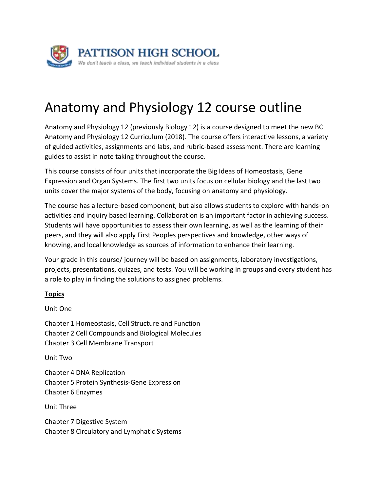

## Anatomy and Physiology 12 course outline

Anatomy and Physiology 12 (previously Biology 12) is a course designed to meet the new BC Anatomy and Physiology 12 Curriculum (2018). The course offers interactive lessons, a variety of guided activities, assignments and labs, and rubric-based assessment. There are learning guides to assist in note taking throughout the course.

This course consists of four units that incorporate the Big Ideas of Homeostasis, Gene Expression and Organ Systems. The first two units focus on cellular biology and the last two units cover the major systems of the body, focusing on anatomy and physiology.

The course has a lecture-based component, but also allows students to explore with hands-on activities and inquiry based learning. Collaboration is an important factor in achieving success. Students will have opportunities to assess their own learning, as well as the learning of their peers, and they will also apply First Peoples perspectives and knowledge, other ways of knowing, and local knowledge as sources of information to enhance their learning.

Your grade in this course/ journey will be based on assignments, laboratory investigations, projects, presentations, quizzes, and tests. You will be working in groups and every student has a role to play in finding the solutions to assigned problems.

## **Topics**

Unit One

Chapter 1 Homeostasis, Cell Structure and Function Chapter 2 Cell Compounds and Biological Molecules Chapter 3 Cell Membrane Transport

Unit Two

Chapter 4 DNA Replication Chapter 5 Protein Synthesis-Gene Expression Chapter 6 Enzymes

Unit Three

Chapter 7 Digestive System Chapter 8 Circulatory and Lymphatic Systems